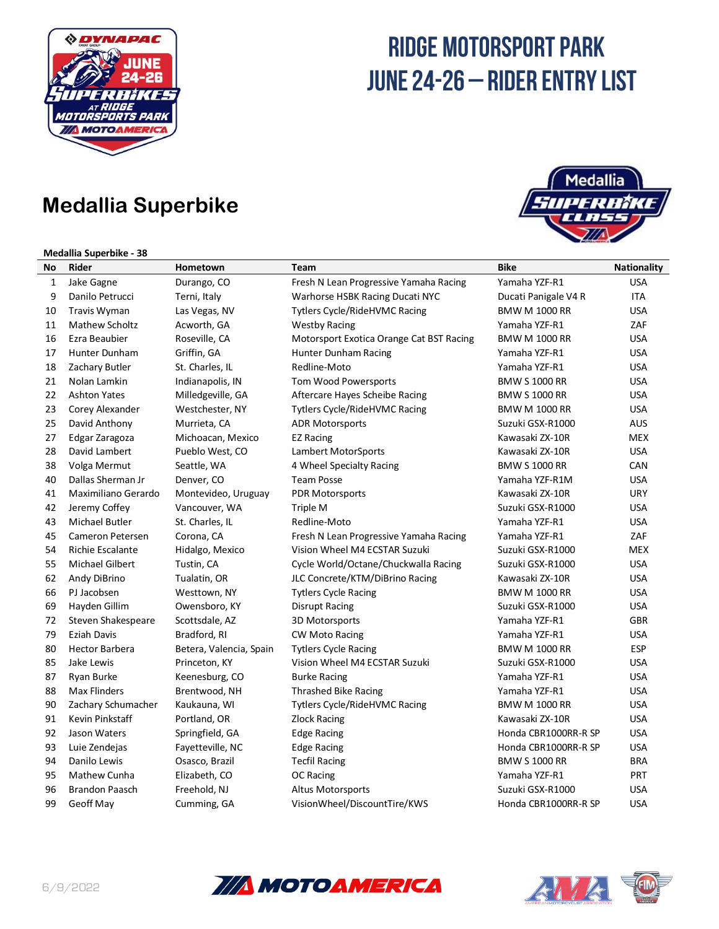

## **Medallia Superbike**

#### **Medallia Superbike - 38**



| No | Rider                   | Hometown                | Team                                     | <b>Bike</b>          | <b>Nationality</b> |
|----|-------------------------|-------------------------|------------------------------------------|----------------------|--------------------|
| 1  | Jake Gagne              | Durango, CO             | Fresh N Lean Progressive Yamaha Racing   | Yamaha YZF-R1        | <b>USA</b>         |
| 9  | Danilo Petrucci         | Terni, Italy            | Warhorse HSBK Racing Ducati NYC          | Ducati Panigale V4 R | <b>ITA</b>         |
| 10 | <b>Travis Wyman</b>     | Las Vegas, NV           | Tytlers Cycle/RideHVMC Racing            | <b>BMW M 1000 RR</b> | <b>USA</b>         |
| 11 | <b>Mathew Scholtz</b>   | Acworth, GA             | <b>Westby Racing</b>                     | Yamaha YZF-R1        | ZAF                |
| 16 | Ezra Beaubier           | Roseville, CA           | Motorsport Exotica Orange Cat BST Racing | <b>BMW M 1000 RR</b> | <b>USA</b>         |
| 17 | Hunter Dunham           | Griffin, GA             | Hunter Dunham Racing                     | Yamaha YZF-R1        | <b>USA</b>         |
| 18 | Zachary Butler          | St. Charles, IL         | Redline-Moto                             | Yamaha YZF-R1        | <b>USA</b>         |
| 21 | Nolan Lamkin            | Indianapolis, IN        | Tom Wood Powersports                     | <b>BMW S 1000 RR</b> | <b>USA</b>         |
| 22 | <b>Ashton Yates</b>     | Milledgeville, GA       | Aftercare Hayes Scheibe Racing           | <b>BMW S 1000 RR</b> | <b>USA</b>         |
| 23 | Corey Alexander         | Westchester, NY         | <b>Tytlers Cycle/RideHVMC Racing</b>     | <b>BMW M 1000 RR</b> | <b>USA</b>         |
| 25 | David Anthony           | Murrieta, CA            | <b>ADR Motorsports</b>                   | Suzuki GSX-R1000     | AUS                |
| 27 | Edgar Zaragoza          | Michoacan, Mexico       | <b>EZ Racing</b>                         | Kawasaki ZX-10R      | <b>MEX</b>         |
| 28 | David Lambert           | Pueblo West, CO         | Lambert MotorSports                      | Kawasaki ZX-10R      | <b>USA</b>         |
| 38 | Volga Mermut            | Seattle, WA             | 4 Wheel Specialty Racing                 | <b>BMW S 1000 RR</b> | CAN                |
| 40 | Dallas Sherman Jr       | Denver, CO              | <b>Team Posse</b>                        | Yamaha YZF-R1M       | <b>USA</b>         |
| 41 | Maximiliano Gerardo     | Montevideo, Uruguay     | PDR Motorsports                          | Kawasaki ZX-10R      | <b>URY</b>         |
| 42 | Jeremy Coffey           | Vancouver, WA           | Triple M                                 | Suzuki GSX-R1000     | <b>USA</b>         |
| 43 | <b>Michael Butler</b>   | St. Charles, IL         | Redline-Moto                             | Yamaha YZF-R1        | <b>USA</b>         |
| 45 | Cameron Petersen        | Corona, CA              | Fresh N Lean Progressive Yamaha Racing   | Yamaha YZF-R1        | ZAF                |
| 54 | <b>Richie Escalante</b> | Hidalgo, Mexico         | Vision Wheel M4 ECSTAR Suzuki            | Suzuki GSX-R1000     | <b>MEX</b>         |
| 55 | Michael Gilbert         | Tustin, CA              | Cycle World/Octane/Chuckwalla Racing     | Suzuki GSX-R1000     | <b>USA</b>         |
| 62 | Andy DiBrino            | Tualatin, OR            | JLC Concrete/KTM/DiBrino Racing          | Kawasaki ZX-10R      | <b>USA</b>         |
| 66 | PJ Jacobsen             | Westtown, NY            | <b>Tytlers Cycle Racing</b>              | <b>BMW M 1000 RR</b> | <b>USA</b>         |
| 69 | Hayden Gillim           | Owensboro, KY           | Disrupt Racing                           | Suzuki GSX-R1000     | USA                |
| 72 | Steven Shakespeare      | Scottsdale, AZ          | 3D Motorsports                           | Yamaha YZF-R1        | GBR                |
| 79 | Eziah Davis             | Bradford, RI            | <b>CW Moto Racing</b>                    | Yamaha YZF-R1        | <b>USA</b>         |
| 80 | <b>Hector Barbera</b>   | Betera, Valencia, Spain | <b>Tytlers Cycle Racing</b>              | <b>BMW M 1000 RR</b> | <b>ESP</b>         |
| 85 | Jake Lewis              | Princeton, KY           | Vision Wheel M4 ECSTAR Suzuki            | Suzuki GSX-R1000     | <b>USA</b>         |
| 87 | Ryan Burke              | Keenesburg, CO          | <b>Burke Racing</b>                      | Yamaha YZF-R1        | <b>USA</b>         |
| 88 | Max Flinders            | Brentwood, NH           | Thrashed Bike Racing                     | Yamaha YZF-R1        | <b>USA</b>         |
| 90 | Zachary Schumacher      | Kaukauna, WI            | Tytlers Cycle/RideHVMC Racing            | <b>BMW M 1000 RR</b> | <b>USA</b>         |
| 91 | Kevin Pinkstaff         | Portland, OR            | <b>Zlock Racing</b>                      | Kawasaki ZX-10R      | <b>USA</b>         |
| 92 | Jason Waters            | Springfield, GA         | <b>Edge Racing</b>                       | Honda CBR1000RR-R SP | <b>USA</b>         |
| 93 | Luie Zendejas           | Fayetteville, NC        | Edge Racing                              | Honda CBR1000RR-R SP | <b>USA</b>         |
| 94 | Danilo Lewis            | Osasco, Brazil          | <b>Tecfil Racing</b>                     | <b>BMW S 1000 RR</b> | <b>BRA</b>         |
| 95 | Mathew Cunha            | Elizabeth, CO           | <b>OC Racing</b>                         | Yamaha YZF-R1        | PRT                |
| 96 | <b>Brandon Paasch</b>   | Freehold, NJ            | <b>Altus Motorsports</b>                 | Suzuki GSX-R1000     | <b>USA</b>         |
| 99 | Geoff May               | Cumming, GA             | VisionWheel/DiscountTire/KWS             | Honda CBR1000RR-R SP | <b>USA</b>         |



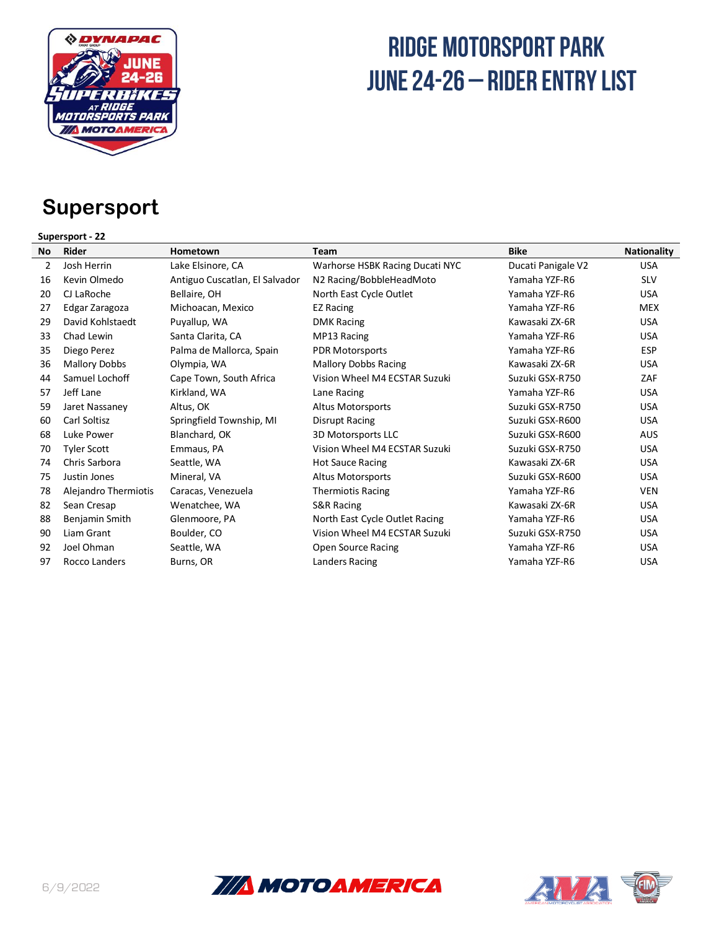

## **Supersport**

### **Supersport - 22**

| <b>No</b> | <b>Rider</b>         | Hometown                       | Team                            | <b>Bike</b>        | <b>Nationality</b> |
|-----------|----------------------|--------------------------------|---------------------------------|--------------------|--------------------|
| 2         | Josh Herrin          | Lake Elsinore, CA              | Warhorse HSBK Racing Ducati NYC | Ducati Panigale V2 | <b>USA</b>         |
| 16        | Kevin Olmedo         | Antiguo Cuscatlan, El Salvador | N2 Racing/BobbleHeadMoto        | Yamaha YZF-R6      | <b>SLV</b>         |
| 20        | CJ LaRoche           | Bellaire, OH                   | North East Cycle Outlet         | Yamaha YZF-R6      | <b>USA</b>         |
| 27        | Edgar Zaragoza       | Michoacan, Mexico              | <b>EZ Racing</b>                | Yamaha YZF-R6      | <b>MEX</b>         |
| 29        | David Kohlstaedt     | Puyallup, WA                   | <b>DMK Racing</b>               | Kawasaki ZX-6R     | <b>USA</b>         |
| 33        | Chad Lewin           | Santa Clarita, CA              | MP13 Racing                     | Yamaha YZF-R6      | <b>USA</b>         |
| 35        | Diego Perez          | Palma de Mallorca, Spain       | <b>PDR Motorsports</b>          | Yamaha YZF-R6      | <b>ESP</b>         |
| 36        | <b>Mallory Dobbs</b> | Olympia, WA                    | <b>Mallory Dobbs Racing</b>     | Kawasaki ZX-6R     | <b>USA</b>         |
| 44        | Samuel Lochoff       | Cape Town, South Africa        | Vision Wheel M4 ECSTAR Suzuki   | Suzuki GSX-R750    | ZAF                |
| 57        | Jeff Lane            | Kirkland, WA                   | Lane Racing                     | Yamaha YZF-R6      | <b>USA</b>         |
| 59        | Jaret Nassaney       | Altus, OK                      | <b>Altus Motorsports</b>        | Suzuki GSX-R750    | <b>USA</b>         |
| 60        | Carl Soltisz         | Springfield Township, MI       | Disrupt Racing                  | Suzuki GSX-R600    | <b>USA</b>         |
| 68        | Luke Power           | Blanchard, OK                  | 3D Motorsports LLC              | Suzuki GSX-R600    | <b>AUS</b>         |
| 70        | <b>Tyler Scott</b>   | Emmaus, PA                     | Vision Wheel M4 ECSTAR Suzuki   | Suzuki GSX-R750    | <b>USA</b>         |
| 74        | Chris Sarbora        | Seattle, WA                    | <b>Hot Sauce Racing</b>         | Kawasaki ZX-6R     | <b>USA</b>         |
| 75        | Justin Jones         | Mineral, VA                    | Altus Motorsports               | Suzuki GSX-R600    | <b>USA</b>         |
| 78        | Alejandro Thermiotis | Caracas, Venezuela             | <b>Thermiotis Racing</b>        | Yamaha YZF-R6      | <b>VEN</b>         |
| 82        | Sean Cresap          | Wenatchee, WA                  | S&R Racing                      | Kawasaki ZX-6R     | <b>USA</b>         |
| 88        | Benjamin Smith       | Glenmoore, PA                  | North East Cycle Outlet Racing  | Yamaha YZF-R6      | <b>USA</b>         |
| 90        | Liam Grant           | Boulder, CO                    | Vision Wheel M4 ECSTAR Suzuki   | Suzuki GSX-R750    | <b>USA</b>         |
| 92        | Joel Ohman           | Seattle, WA                    | Open Source Racing              | Yamaha YZF-R6      | <b>USA</b>         |
| 97        | Rocco Landers        | Burns, OR                      | Landers Racing                  | Yamaha YZF-R6      | <b>USA</b>         |



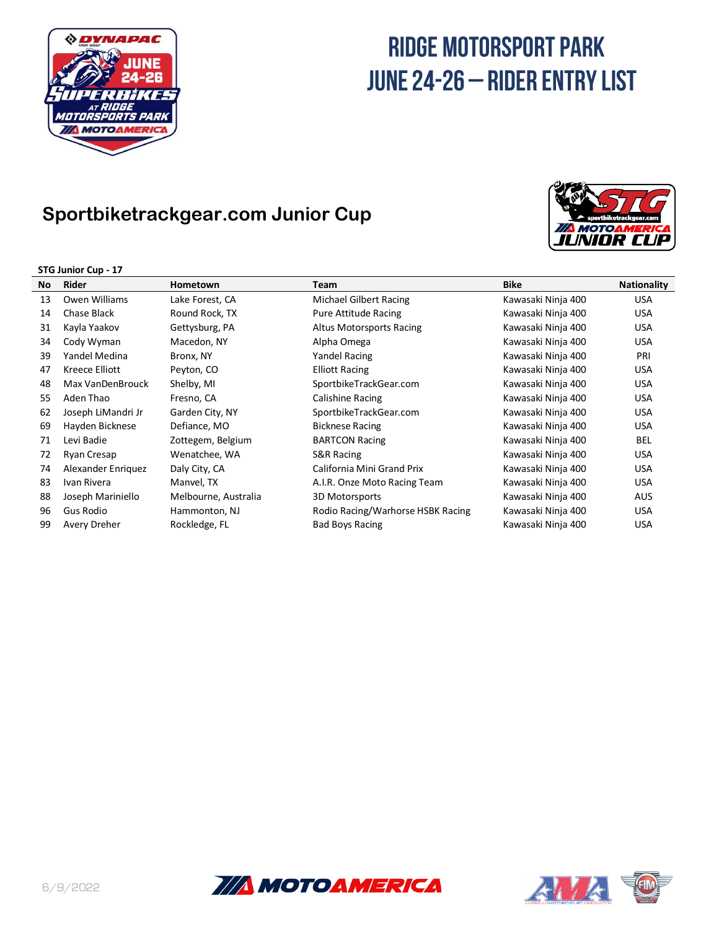

### **Sportbiketrackgear.com Junior Cup**





|     | JI JUHINI LUP - 17 |                      |                                   |                    |                    |  |
|-----|--------------------|----------------------|-----------------------------------|--------------------|--------------------|--|
| No. | Rider              | Hometown             | Team                              | <b>Bike</b>        | <b>Nationality</b> |  |
| 13  | Owen Williams      | Lake Forest, CA      | Michael Gilbert Racing            | Kawasaki Ninja 400 | <b>USA</b>         |  |
| 14  | Chase Black        | Round Rock, TX       | Pure Attitude Racing              | Kawasaki Ninja 400 | <b>USA</b>         |  |
| 31  | Kayla Yaakov       | Gettysburg, PA       | Altus Motorsports Racing          | Kawasaki Ninja 400 | <b>USA</b>         |  |
| 34  | Cody Wyman         | Macedon, NY          | Alpha Omega                       | Kawasaki Ninja 400 | <b>USA</b>         |  |
| 39  | Yandel Medina      | Bronx, NY            | Yandel Racing                     | Kawasaki Ninja 400 | PRI                |  |
| 47  | Kreece Elliott     | Peyton, CO           | <b>Elliott Racing</b>             | Kawasaki Ninja 400 | <b>USA</b>         |  |
| 48  | Max VanDenBrouck   | Shelby, MI           | SportbikeTrackGear.com            | Kawasaki Ninja 400 | <b>USA</b>         |  |
| 55  | Aden Thao          | Fresno, CA           | Calishine Racing                  | Kawasaki Ninja 400 | <b>USA</b>         |  |
| 62  | Joseph LiMandri Jr | Garden City, NY      | SportbikeTrackGear.com            | Kawasaki Ninja 400 | <b>USA</b>         |  |
| 69  | Hayden Bicknese    | Defiance, MO         | <b>Bicknese Racing</b>            | Kawasaki Ninja 400 | <b>USA</b>         |  |
| 71  | Levi Badie         | Zottegem, Belgium    | <b>BARTCON Racing</b>             | Kawasaki Ninja 400 | <b>BEL</b>         |  |
| 72  | Ryan Cresap        | Wenatchee, WA        | S&R Racing                        | Kawasaki Ninja 400 | <b>USA</b>         |  |
| 74  | Alexander Enriquez | Daly City, CA        | California Mini Grand Prix        | Kawasaki Ninja 400 | <b>USA</b>         |  |
| 83  | Ivan Rivera        | Manvel, TX           | A.I.R. Onze Moto Racing Team      | Kawasaki Ninja 400 | <b>USA</b>         |  |
| 88  | Joseph Mariniello  | Melbourne, Australia | 3D Motorsports                    | Kawasaki Ninja 400 | AUS                |  |
| 96  | Gus Rodio          | Hammonton, NJ        | Rodio Racing/Warhorse HSBK Racing | Kawasaki Ninja 400 | <b>USA</b>         |  |
| 99  | Avery Dreher       | Rockledge, FL        | <b>Bad Boys Racing</b>            | Kawasaki Ninja 400 | <b>USA</b>         |  |



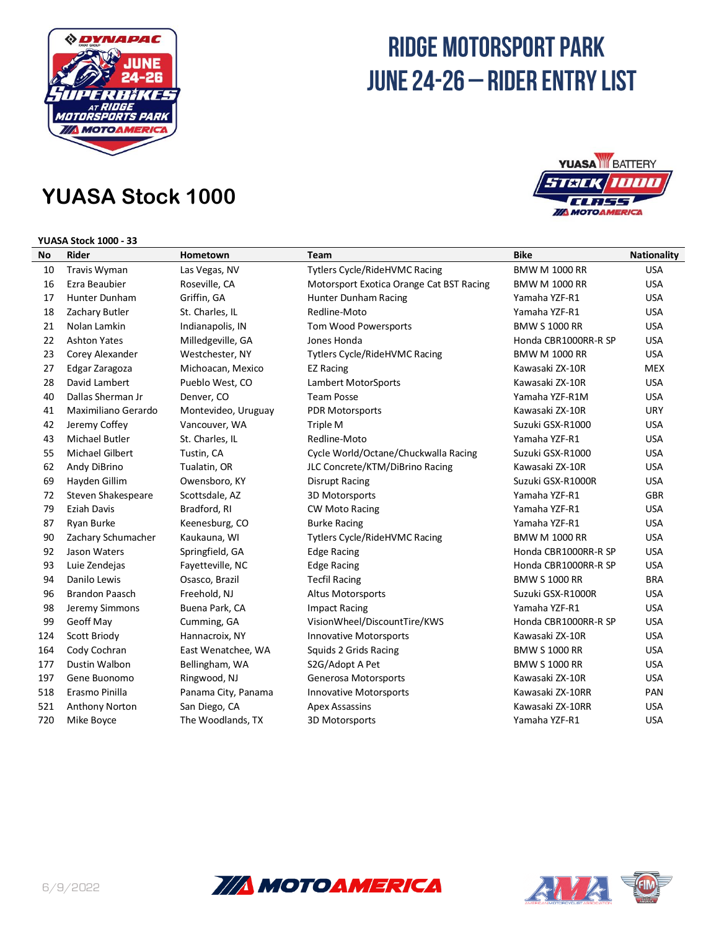

## **YUASA Stock 1000**

### **YUASA Stock 1000 - 33**



| No  | <b>Rider</b>           | Hometown            | Team                                     | Bike                 | <b>Nationality</b> |
|-----|------------------------|---------------------|------------------------------------------|----------------------|--------------------|
| 10  | <b>Travis Wyman</b>    | Las Vegas, NV       | <b>Tytlers Cycle/RideHVMC Racing</b>     | <b>BMW M 1000 RR</b> | <b>USA</b>         |
| 16  | Ezra Beaubier          | Roseville, CA       | Motorsport Exotica Orange Cat BST Racing | <b>BMW M 1000 RR</b> | <b>USA</b>         |
| 17  | Hunter Dunham          | Griffin, GA         | Hunter Dunham Racing                     | Yamaha YZF-R1        | <b>USA</b>         |
| 18  | Zachary Butler         | St. Charles, IL     | Redline-Moto                             | Yamaha YZF-R1        | <b>USA</b>         |
| 21  | Nolan Lamkin           | Indianapolis, IN    | Tom Wood Powersports                     | <b>BMW S 1000 RR</b> | <b>USA</b>         |
| 22  | <b>Ashton Yates</b>    | Milledgeville, GA   | Jones Honda                              | Honda CBR1000RR-R SP | <b>USA</b>         |
| 23  | Corey Alexander        | Westchester, NY     | <b>Tytlers Cycle/RideHVMC Racing</b>     | <b>BMW M 1000 RR</b> | <b>USA</b>         |
| 27  | Edgar Zaragoza         | Michoacan, Mexico   | <b>EZ Racing</b>                         | Kawasaki ZX-10R      | <b>MEX</b>         |
| 28  | David Lambert          | Pueblo West, CO     | Lambert MotorSports                      | Kawasaki ZX-10R      | <b>USA</b>         |
| 40  | Dallas Sherman Jr      | Denver, CO          | <b>Team Posse</b>                        | Yamaha YZF-R1M       | <b>USA</b>         |
| 41  | Maximiliano Gerardo    | Montevideo, Uruguay | <b>PDR Motorsports</b>                   | Kawasaki ZX-10R      | <b>URY</b>         |
| 42  | Jeremy Coffey          | Vancouver, WA       | Triple M                                 | Suzuki GSX-R1000     | <b>USA</b>         |
| 43  | <b>Michael Butler</b>  | St. Charles, IL     | Redline-Moto                             | Yamaha YZF-R1        | <b>USA</b>         |
| 55  | <b>Michael Gilbert</b> | Tustin, CA          | Cycle World/Octane/Chuckwalla Racing     | Suzuki GSX-R1000     | <b>USA</b>         |
| 62  | Andy DiBrino           | Tualatin, OR        | JLC Concrete/KTM/DiBrino Racing          | Kawasaki ZX-10R      | <b>USA</b>         |
| 69  | Hayden Gillim          | Owensboro, KY       | <b>Disrupt Racing</b>                    | Suzuki GSX-R1000R    | <b>USA</b>         |
| 72  | Steven Shakespeare     | Scottsdale, AZ      | 3D Motorsports                           | Yamaha YZF-R1        | <b>GBR</b>         |
| 79  | <b>Eziah Davis</b>     | Bradford, RI        | <b>CW Moto Racing</b>                    | Yamaha YZF-R1        | <b>USA</b>         |
| 87  | Ryan Burke             | Keenesburg, CO      | <b>Burke Racing</b>                      | Yamaha YZF-R1        | <b>USA</b>         |
| 90  | Zachary Schumacher     | Kaukauna, WI        | <b>Tytlers Cycle/RideHVMC Racing</b>     | <b>BMW M 1000 RR</b> | <b>USA</b>         |
| 92  | Jason Waters           | Springfield, GA     | <b>Edge Racing</b>                       | Honda CBR1000RR-R SP | <b>USA</b>         |
| 93  | Luie Zendejas          | Fayetteville, NC    | <b>Edge Racing</b>                       | Honda CBR1000RR-R SP | <b>USA</b>         |
| 94  | Danilo Lewis           | Osasco, Brazil      | <b>Tecfil Racing</b>                     | <b>BMW S 1000 RR</b> | <b>BRA</b>         |
| 96  | <b>Brandon Paasch</b>  | Freehold, NJ        | <b>Altus Motorsports</b>                 | Suzuki GSX-R1000R    | <b>USA</b>         |
| 98  | Jeremy Simmons         | Buena Park, CA      | <b>Impact Racing</b>                     | Yamaha YZF-R1        | <b>USA</b>         |
| 99  | Geoff May              | Cumming, GA         | VisionWheel/DiscountTire/KWS             | Honda CBR1000RR-R SP | <b>USA</b>         |
| 124 | Scott Briody           | Hannacroix, NY      | <b>Innovative Motorsports</b>            | Kawasaki ZX-10R      | <b>USA</b>         |
| 164 | Cody Cochran           | East Wenatchee, WA  | Squids 2 Grids Racing                    | <b>BMW S 1000 RR</b> | <b>USA</b>         |
| 177 | Dustin Walbon          | Bellingham, WA      | S2G/Adopt A Pet                          | <b>BMW S 1000 RR</b> | <b>USA</b>         |
| 197 | Gene Buonomo           | Ringwood, NJ        | Generosa Motorsports                     | Kawasaki ZX-10R      | <b>USA</b>         |
| 518 | Erasmo Pinilla         | Panama City, Panama | <b>Innovative Motorsports</b>            | Kawasaki ZX-10RR     | PAN                |
| 521 | Anthony Norton         | San Diego, CA       | <b>Apex Assassins</b>                    | Kawasaki ZX-10RR     | <b>USA</b>         |
| 720 | Mike Boyce             | The Woodlands, TX   | 3D Motorsports                           | Yamaha YZF-R1        | <b>USA</b>         |



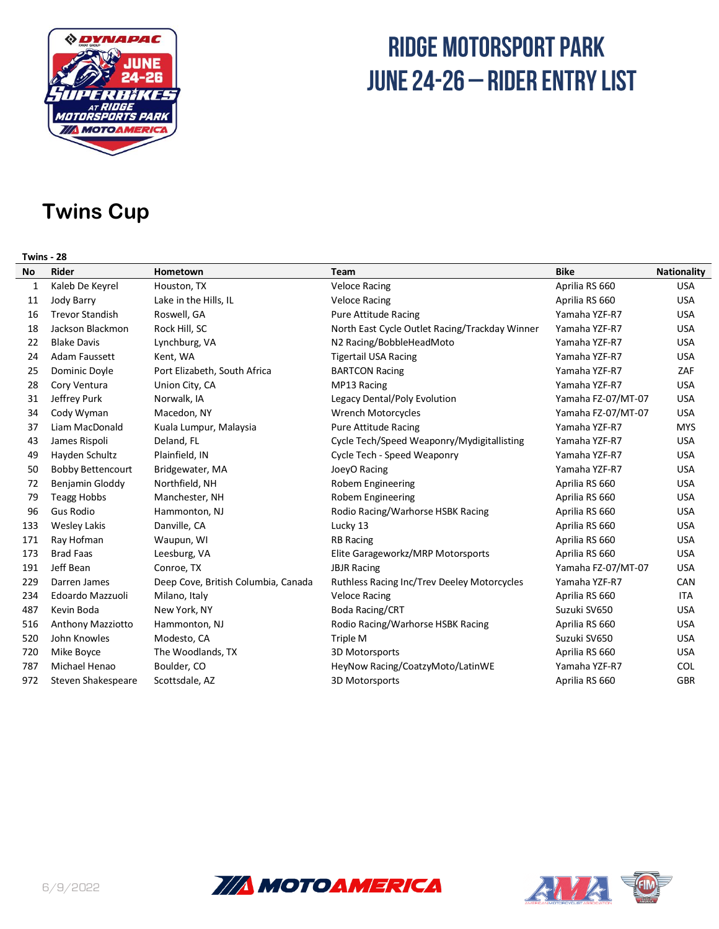

### **Twins Cup**

#### **Twins - 28**

| No  | <b>Rider</b>             | Hometown                            | <b>Team</b>                                        | <b>Bike</b>        | <b>Nationality</b> |
|-----|--------------------------|-------------------------------------|----------------------------------------------------|--------------------|--------------------|
| 1   | Kaleb De Keyrel          | Houston, TX                         | <b>Veloce Racing</b>                               | Aprilia RS 660     | <b>USA</b>         |
| 11  | Jody Barry               | Lake in the Hills, IL               | <b>Veloce Racing</b>                               | Aprilia RS 660     | <b>USA</b>         |
| 16  | <b>Trevor Standish</b>   | Roswell, GA                         | <b>Pure Attitude Racing</b>                        | Yamaha YZF-R7      | <b>USA</b>         |
| 18  | Jackson Blackmon         | Rock Hill, SC                       | North East Cycle Outlet Racing/Trackday Winner     | Yamaha YZF-R7      | <b>USA</b>         |
| 22  | <b>Blake Davis</b>       | Lynchburg, VA                       | N2 Racing/BobbleHeadMoto                           | Yamaha YZF-R7      | <b>USA</b>         |
| 24  | Adam Faussett            | Kent, WA                            | <b>Tigertail USA Racing</b>                        | Yamaha YZF-R7      | <b>USA</b>         |
| 25  | Dominic Doyle            | Port Elizabeth, South Africa        | <b>BARTCON Racing</b>                              | Yamaha YZF-R7      | ZAF                |
| 28  | Cory Ventura             | Union City, CA                      | MP13 Racing                                        | Yamaha YZF-R7      | <b>USA</b>         |
| 31  | Jeffrey Purk             | Norwalk, IA                         | Legacy Dental/Poly Evolution                       | Yamaha FZ-07/MT-07 | <b>USA</b>         |
| 34  | Cody Wyman               | Macedon, NY                         | Wrench Motorcycles                                 | Yamaha FZ-07/MT-07 | <b>USA</b>         |
| 37  | Liam MacDonald           | Kuala Lumpur, Malaysia              | <b>Pure Attitude Racing</b>                        | Yamaha YZF-R7      | <b>MYS</b>         |
| 43  | James Rispoli            | Deland, FL                          | Cycle Tech/Speed Weaponry/Mydigitallisting         | Yamaha YZF-R7      | <b>USA</b>         |
| 49  | Hayden Schultz           | Plainfield, IN                      | Cycle Tech - Speed Weaponry                        | Yamaha YZF-R7      | <b>USA</b>         |
| 50  | <b>Bobby Bettencourt</b> | Bridgewater, MA                     | JoeyO Racing                                       | Yamaha YZF-R7      | <b>USA</b>         |
| 72  | Benjamin Gloddy          | Northfield, NH                      | Robem Engineering                                  | Aprilia RS 660     | <b>USA</b>         |
| 79  | Teagg Hobbs              | Manchester, NH                      | Robem Engineering                                  | Aprilia RS 660     | <b>USA</b>         |
| 96  | Gus Rodio                | Hammonton, NJ                       | Rodio Racing/Warhorse HSBK Racing                  | Aprilia RS 660     | <b>USA</b>         |
| 133 | <b>Wesley Lakis</b>      | Danville, CA                        | Lucky 13                                           | Aprilia RS 660     | <b>USA</b>         |
| 171 | Ray Hofman               | Waupun, WI                          | <b>RB Racing</b>                                   | Aprilia RS 660     | <b>USA</b>         |
| 173 | <b>Brad Faas</b>         | Leesburg, VA                        | Elite Garageworkz/MRP Motorsports                  | Aprilia RS 660     | <b>USA</b>         |
| 191 | Jeff Bean                | Conroe, TX                          | <b>JBJR Racing</b>                                 | Yamaha FZ-07/MT-07 | <b>USA</b>         |
| 229 | Darren James             | Deep Cove, British Columbia, Canada | <b>Ruthless Racing Inc/Trev Deeley Motorcycles</b> | Yamaha YZF-R7      | CAN                |
| 234 | Edoardo Mazzuoli         | Milano, Italy                       | <b>Veloce Racing</b>                               | Aprilia RS 660     | <b>ITA</b>         |
| 487 | Kevin Boda               | New York, NY                        | Boda Racing/CRT                                    | Suzuki SV650       | <b>USA</b>         |
| 516 | Anthony Mazziotto        | Hammonton, NJ                       | Rodio Racing/Warhorse HSBK Racing                  | Aprilia RS 660     | <b>USA</b>         |
| 520 | John Knowles             | Modesto, CA                         | Triple M                                           | Suzuki SV650       | <b>USA</b>         |
| 720 | Mike Boyce               | The Woodlands, TX                   | 3D Motorsports                                     | Aprilia RS 660     | <b>USA</b>         |
| 787 | Michael Henao            | Boulder, CO                         | HeyNow Racing/CoatzyMoto/LatinWE                   | Yamaha YZF-R7      | COL                |
| 972 | Steven Shakespeare       | Scottsdale, AZ                      | 3D Motorsports                                     | Aprilia RS 660     | <b>GBR</b>         |
|     |                          |                                     |                                                    |                    |                    |



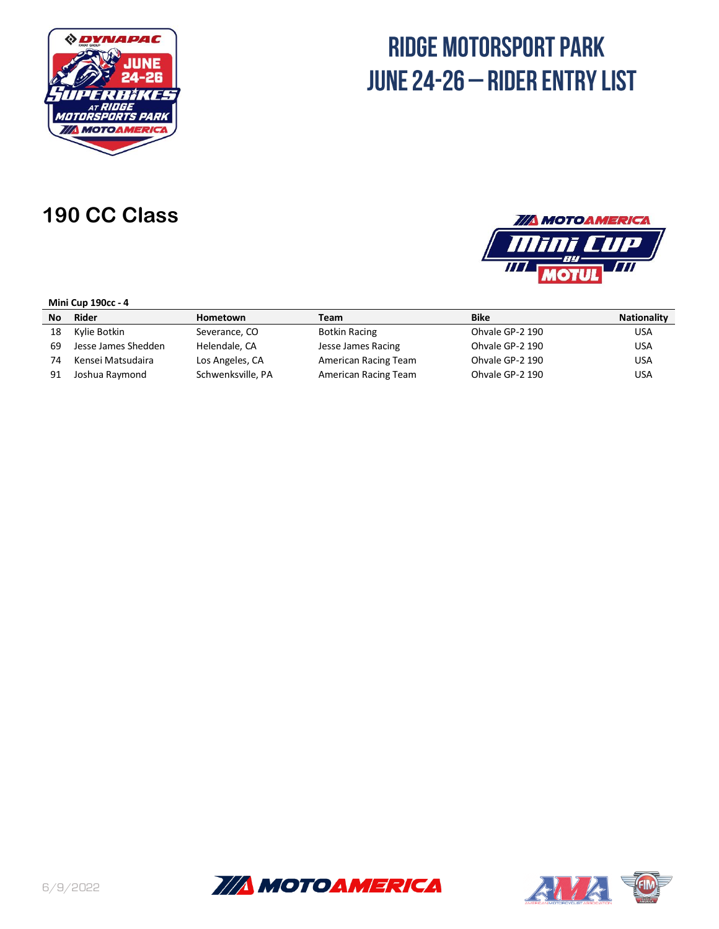

### **190 CC Class**

### **TIA MOTOAMERICA** TTP  $\overline{H}$ 77

#### **Mini Cup 190cc - 4**

| No | Rider               | Hometown          | Team                 | <b>Bike</b>     | <b>Nationality</b> |
|----|---------------------|-------------------|----------------------|-----------------|--------------------|
| 18 | Kylie Botkin        | Severance, CO     | <b>Botkin Racing</b> | Ohvale GP-2 190 | <b>USA</b>         |
| 69 | Jesse James Shedden | Helendale, CA     | Jesse James Racing   | Ohvale GP-2 190 | <b>USA</b>         |
| 74 | Kensei Matsudaira   | Los Angeles, CA   | American Racing Team | Ohvale GP-2 190 | <b>USA</b>         |
| 91 | Joshua Raymond      | Schwenksville, PA | American Racing Team | Ohvale GP-2 190 | <b>USA</b>         |



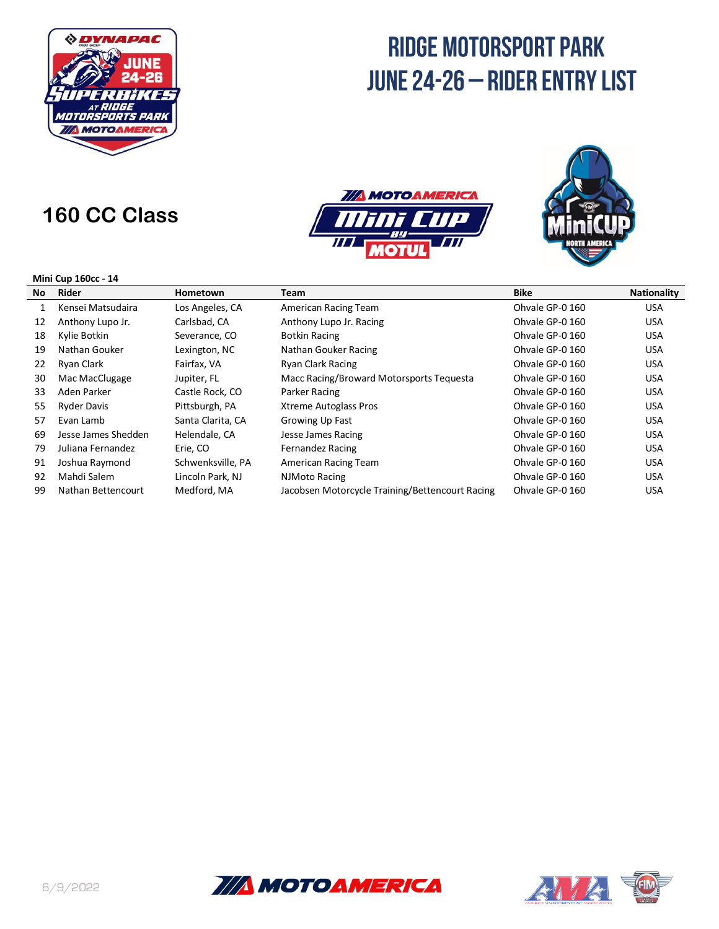

### **160 CC Class**





#### **Mini Cup 160cc - 14**

| No | Rider               | <b>Hometown</b>   | Team                                            | <b>Bike</b>     | <b>Nationality</b> |
|----|---------------------|-------------------|-------------------------------------------------|-----------------|--------------------|
| 1  | Kensei Matsudaira   | Los Angeles, CA   | American Racing Team                            | Ohvale GP-0 160 | <b>USA</b>         |
| 12 | Anthony Lupo Jr.    | Carlsbad, CA      | Anthony Lupo Jr. Racing                         | Ohvale GP-0 160 | <b>USA</b>         |
| 18 | Kylie Botkin        | Severance, CO     | <b>Botkin Racing</b>                            | Ohvale GP-0 160 | <b>USA</b>         |
| 19 | Nathan Gouker       | Lexington, NC     | Nathan Gouker Racing                            | Ohvale GP-0 160 | <b>USA</b>         |
| 22 | Ryan Clark          | Fairfax, VA       | <b>Ryan Clark Racing</b>                        | Ohvale GP-0 160 | <b>USA</b>         |
| 30 | Mac MacClugage      | Jupiter, FL       | Macc Racing/Broward Motorsports Tequesta        | Ohvale GP-0 160 | <b>USA</b>         |
| 33 | Aden Parker         | Castle Rock, CO   | Parker Racing                                   | Ohvale GP-0 160 | <b>USA</b>         |
| 55 | <b>Ryder Davis</b>  | Pittsburgh, PA    | <b>Xtreme Autoglass Pros</b>                    | Ohvale GP-0 160 | <b>USA</b>         |
| 57 | Evan Lamb           | Santa Clarita, CA | Growing Up Fast                                 | Ohvale GP-0 160 | <b>USA</b>         |
| 69 | Jesse James Shedden | Helendale, CA     | Jesse James Racing                              | Ohvale GP-0 160 | <b>USA</b>         |
| 79 | Juliana Fernandez   | Erie, CO          | <b>Fernandez Racing</b>                         | Ohvale GP-0 160 | <b>USA</b>         |
| 91 | Joshua Raymond      | Schwenksville, PA | American Racing Team                            | Ohvale GP-0 160 | <b>USA</b>         |
| 92 | Mahdi Salem         | Lincoln Park, NJ  | NJMoto Racing                                   | Ohvale GP-0 160 | <b>USA</b>         |
| 99 | Nathan Bettencourt  | Medford, MA       | Jacobsen Motorcycle Training/Bettencourt Racing | Ohvale GP-0 160 | <b>USA</b>         |
|    |                     |                   |                                                 |                 |                    |